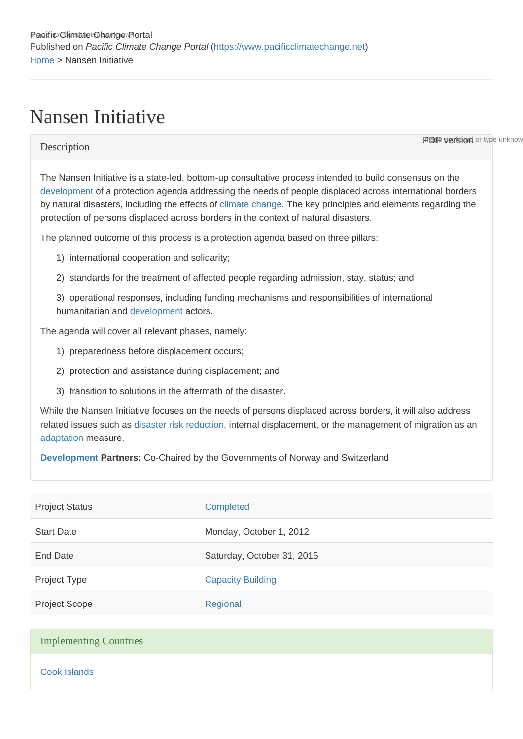## Nansen Initiative

**PDF version** or type unknow

## **Description**

The Nansen Initiative is a state-led, bottom-up consultative process intended to build consensus on the [development](https://www.pacificclimatechange.net/glossary/letter_d#Development) of a protection agenda addressing the needs of people displaced across international borders by natural disasters, including the effects of [climate change.](https://www.pacificclimatechange.net/glossary/letter_c#Climate_Change) The key principles and elements regarding the protection of persons displaced across borders in the context of natural disasters.

The planned outcome of this process is a protection agenda based on three pillars:

- 1) international cooperation and solidarity;
- 2) standards for the treatment of affected people regarding admission, stay, status; and

3) operational responses, including funding mechanisms and responsibilities of international humanitarian and [development](https://www.pacificclimatechange.net/glossary/letter_d#Development) actors.

The agenda will cover all relevant phases, namely:

- 1) preparedness before displacement occurs;
- 2) protection and assistance during displacement; and
- 3) transition to solutions in the aftermath of the disaster.

While the Nansen Initiative focuses on the needs of persons displaced across borders, it will also address related issues such as [disaster risk reduction,](https://www.pacificclimatechange.net/glossary/letter_d#Disaster_Risk_Reduction) internal displacement, or the management of migration as an [adaptation](https://www.pacificclimatechange.net/glossary/letter_a#Adaptation) measure.

[Development](https://www.pacificclimatechange.net/glossary/letter_d#Development) Partners: Co-Chaired by the Governments of Norway and Switzerland

| Completed                  |
|----------------------------|
| Monday, October 1, 2012    |
| Saturday, October 31, 2015 |
| <b>Capacity Building</b>   |
| Regional                   |
|                            |
|                            |
|                            |

[Cook Islands](https://www.pacificclimatechange.net/node/9481)